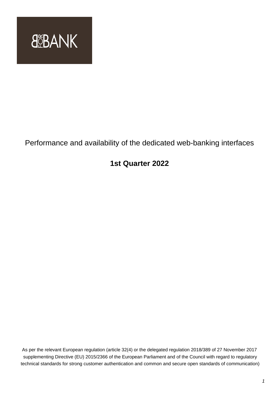

# Performance and availability of the dedicated web-banking interfaces

## **1st Quarter 2022**

As per the relevant European regulation (article 32(4) or the delegated regulation 2018/389 of 27 November 2017 supplementing Directive (EU) 2015/2366 of the European Parliament and of the Council with regard to regulatory technical standards for strong customer authentication and common and secure open standards of communication)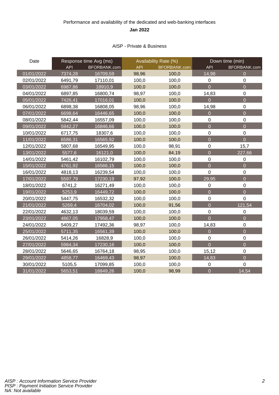### Performance and availability of the dedicated and web-banking interfaces **Jan 2022**

#### AISP - Private & Business

| Date       | Response time Avg (ms) |              | Availability Rate (%) |              | Down time (min)  |                  |
|------------|------------------------|--------------|-----------------------|--------------|------------------|------------------|
|            | <b>API</b>             | BFORBANK.com | <b>API</b>            | BFORBANK.com | <b>API</b>       | BFORBANK.com     |
| 01/01/2022 | 7374,28                | 16709,59     | 98,96                 | 100,0        | 14,98            | $\overline{0}$   |
| 02/01/2022 | 6491,79                | 17110,01     | 100,0                 | 100,0        | 0                | $\mathbf 0$      |
| 03/01/2022 | 6987,86                | 18910,9      | 100,0                 | 100,0        | $\overline{0}$   | $\overline{0}$   |
| 04/01/2022 | 6897,85                | 16800,74     | 98,97                 | 100,0        | 14,83            | $\mathbf 0$      |
| 05/01/2022 | 7426,41                | 17016,01     | 100,0                 | 100,0        | $\overline{0}$   | $\overline{0}$   |
| 06/01/2022 | 6898,38                | 16808,05     | 98,96                 | 100,0        | 14,98            | $\mathbf 0$      |
| 07/01/2022 | 6698,64                | 16446,65     | 100,0                 | 100,0        | $\overline{0}$   | $\overline{0}$   |
| 08/01/2022 | 5842,44                | 16557,09     | 100,0                 | 100,0        | $\pmb{0}$        | $\mathbf 0$      |
| 09/01/2022 | 5942,27                | 16846,66     | 100,0                 | 100,0        | $\overline{0}$   | $\overline{0}$   |
| 10/01/2022 | 6717,75                | 18307,6      | 100,0                 | 100,0        | 0                | $\boldsymbol{0}$ |
| 11/01/2022 | 6586,31                | 16565,92     | 100,0                 | 100,0        | $\overline{0}$   | $\overline{0}$   |
| 12/01/2022 | 5807,68                | 16549,95     | 100,0                 | 98,91        | $\pmb{0}$        | 15,7             |
| 13/01/2022 | 5577,6                 | 16121,0      | 100,0                 | 84,19        | $\overline{0}$   | 227,66           |
| 14/01/2022 | 5461,42                | 16102,79     | 100,0                 | 100,0        | $\pmb{0}$        | $\boldsymbol{0}$ |
| 15/01/2022 | 4761,92                | 16566,15     | 100,0                 | 100,0        | $\overline{0}$   | $\overline{0}$   |
| 16/01/2022 | 4818,13                | 16239,54     | 100,0                 | 100,0        | $\mathbf 0$      | $\mathbf 0$      |
| 17/01/2022 | 5597,79                | 17230,19     | 97,92                 | 100,0        | 29,95            | $\overline{0}$   |
| 18/01/2022 | 6741,2                 | 16271,49     | 100,0                 | 100,0        | $\mathbf 0$      | $\mathbf 0$      |
| 19/01/2022 | 5253,9                 | 16449,72     | 100,0                 | 100,0        | $\overline{0}$   | $\overline{0}$   |
| 20/01/2022 | 5447,75                | 16532,32     | 100,0                 | 100,0        | $\pmb{0}$        | $\overline{0}$   |
| 21/01/2022 | 5269,4                 | 16704,02     | 100,0                 | 91,56        | $\overline{0}$   | 121,54           |
| 22/01/2022 | 4632,13                | 18039,59     | 100,0                 | 100,0        | $\boldsymbol{0}$ | $\mathbf 0$      |
| 23/01/2022 | 4867,05                | 17958,47     | 100,0                 | 100,0        | $\overline{0}$   | $\overline{0}$   |
| 24/01/2022 | 5409,27                | 17492,36     | 98,97                 | 100,0        | 14,83            | $\mathbf 0$      |
| 25/01/2022 | 5711,35                | 16561,39     | 100,0                 | 100,0        | $\overline{0}$   | $\overline{O}$   |
| 26/01/2022 | 5414,26                | 16828,9      | 100,0                 | 100,0        | $\boldsymbol{0}$ | $\pmb{0}$        |
| 27/01/2022 | 5984,34                | 17230,16     | 100,0                 | 100,0        | $\overline{0}$   | $\overline{0}$   |
| 28/01/2022 | 5646,65                | 16764,18     | 98,95                 | 100,0        | 15,12            | $\mathbf 0$      |
| 29/01/2022 | 4858,77                | 16469,43     | 98,97                 | 100,0        | 14,83            | $\overline{0}$   |
| 30/01/2022 | 5105,5                 | 17099,85     | 100,0                 | 100,0        | 0                | $\mathbf 0$      |
| 31/01/2022 | 5653,51                | 18849,26     | 100,0                 | 98,99        | $\overline{0}$   | 14,54            |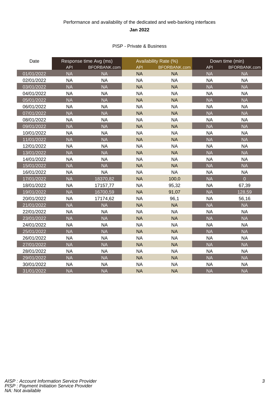### Performance and availability of the dedicated and web-banking interfaces **Jan 2022**

#### PISP - Private & Business

| Date       |            | Response time Avg (ms) | Availability Rate (%) |                     | Down time (min) |                |
|------------|------------|------------------------|-----------------------|---------------------|-----------------|----------------|
|            | <b>API</b> | BFORBANK.com           | <b>API</b>            | <b>BFORBANK.com</b> | <b>API</b>      | BFORBANK.com   |
| 01/01/2022 | <b>NA</b>  | <b>NA</b>              | <b>NA</b>             | <b>NA</b>           | <b>NA</b>       | <b>NA</b>      |
| 02/01/2022 | <b>NA</b>  | <b>NA</b>              | <b>NA</b>             | <b>NA</b>           | <b>NA</b>       | <b>NA</b>      |
| 03/01/2022 | <b>NA</b>  | <b>NA</b>              | <b>NA</b>             | <b>NA</b>           | <b>NA</b>       | <b>NA</b>      |
| 04/01/2022 | <b>NA</b>  | <b>NA</b>              | <b>NA</b>             | <b>NA</b>           | <b>NA</b>       | <b>NA</b>      |
| 05/01/2022 | <b>NA</b>  | <b>NA</b>              | <b>NA</b>             | <b>NA</b>           | <b>NA</b>       | <b>NA</b>      |
| 06/01/2022 | <b>NA</b>  | <b>NA</b>              | <b>NA</b>             | <b>NA</b>           | <b>NA</b>       | <b>NA</b>      |
| 07/01/2022 | <b>NA</b>  | <b>NA</b>              | <b>NA</b>             | <b>NA</b>           | <b>NA</b>       | <b>NA</b>      |
| 08/01/2022 | <b>NA</b>  | <b>NA</b>              | <b>NA</b>             | <b>NA</b>           | <b>NA</b>       | <b>NA</b>      |
| 09/01/2022 | <b>NA</b>  | <b>NA</b>              | <b>NA</b>             | <b>NA</b>           | <b>NA</b>       | <b>NA</b>      |
| 10/01/2022 | <b>NA</b>  | <b>NA</b>              | <b>NA</b>             | <b>NA</b>           | <b>NA</b>       | <b>NA</b>      |
| 11/01/2022 | <b>NA</b>  | <b>NA</b>              | <b>NA</b>             | <b>NA</b>           | <b>NA</b>       | <b>NA</b>      |
| 12/01/2022 | <b>NA</b>  | <b>NA</b>              | <b>NA</b>             | <b>NA</b>           | <b>NA</b>       | <b>NA</b>      |
| 13/01/2022 | <b>NA</b>  | <b>NA</b>              | <b>NA</b>             | <b>NA</b>           | <b>NA</b>       | <b>NA</b>      |
| 14/01/2022 | <b>NA</b>  | <b>NA</b>              | <b>NA</b>             | <b>NA</b>           | <b>NA</b>       | <b>NA</b>      |
| 15/01/2022 | <b>NA</b>  | <b>NA</b>              | <b>NA</b>             | <b>NA</b>           | <b>NA</b>       | <b>NA</b>      |
| 16/01/2022 | <b>NA</b>  | <b>NA</b>              | <b>NA</b>             | <b>NA</b>           | <b>NA</b>       | <b>NA</b>      |
| 17/01/2022 | <b>NA</b>  | 18370,82               | <b>NA</b>             | 100,0               | <b>NA</b>       | $\overline{0}$ |
| 18/01/2022 | <b>NA</b>  | 17157,77               | <b>NA</b>             | 95,32               | <b>NA</b>       | 67,39          |
| 19/01/2022 | <b>NA</b>  | 16700,59               | <b>NA</b>             | 91,07               | <b>NA</b>       | 128,59         |
| 20/01/2022 | <b>NA</b>  | 17174,62               | <b>NA</b>             | 96,1                | <b>NA</b>       | 56,16          |
| 21/01/2022 | <b>NA</b>  | <b>NA</b>              | <b>NA</b>             | <b>NA</b>           | <b>NA</b>       | <b>NA</b>      |
| 22/01/2022 | <b>NA</b>  | <b>NA</b>              | <b>NA</b>             | <b>NA</b>           | <b>NA</b>       | <b>NA</b>      |
| 23/01/2022 | <b>NA</b>  | <b>NA</b>              | <b>NA</b>             | <b>NA</b>           | <b>NA</b>       | <b>NA</b>      |
| 24/01/2022 | <b>NA</b>  | <b>NA</b>              | <b>NA</b>             | <b>NA</b>           | <b>NA</b>       | <b>NA</b>      |
| 25/01/2022 | <b>NA</b>  | <b>NA</b>              | <b>NA</b>             | <b>NA</b>           | <b>NA</b>       | <b>NA</b>      |
| 26/01/2022 | <b>NA</b>  | <b>NA</b>              | <b>NA</b>             | <b>NA</b>           | <b>NA</b>       | <b>NA</b>      |
| 27/01/2022 | <b>NA</b>  | <b>NA</b>              | <b>NA</b>             | <b>NA</b>           | <b>NA</b>       | <b>NA</b>      |
| 28/01/2022 | <b>NA</b>  | <b>NA</b>              | <b>NA</b>             | <b>NA</b>           | <b>NA</b>       | <b>NA</b>      |
| 29/01/2022 | <b>NA</b>  | <b>NA</b>              | <b>NA</b>             | <b>NA</b>           | <b>NA</b>       | <b>NA</b>      |
| 30/01/2022 | <b>NA</b>  | <b>NA</b>              | <b>NA</b>             | <b>NA</b>           | <b>NA</b>       | <b>NA</b>      |
| 31/01/2022 | <b>NA</b>  | <b>NA</b>              | <b>NA</b>             | <b>NA</b>           | <b>NA</b>       | <b>NA</b>      |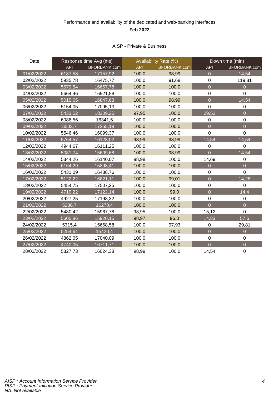### Performance and availability of the dedicated and web-banking interfaces **Feb 2022**

#### AISP - Private & Business

| Date       | Response time Avg (ms) |              | Availability Rate (%) |              | Down time (min) |                |
|------------|------------------------|--------------|-----------------------|--------------|-----------------|----------------|
|            | <b>API</b>             | BFORBANK.com | <b>API</b>            | BFORBANK.com | <b>API</b>      | BFORBANK.com   |
| 01/02/2022 | 6187,58                | 17157,92     | 100,0                 | 98,99        | $\overline{0}$  | 14,54          |
| 02/02/2022 | 5935,78                | 16475,77     | 100,0                 | 91,68        | $\mathbf 0$     | 119,81         |
| 03/02/2022 | 5679,54                | 16657,78     | 100,0                 | 100,0        | $\overline{0}$  | $\Omega$       |
| 04/02/2022 | 5664,46                | 16921,88     | 100,0                 | 100,0        | $\mathbf 0$     | $\overline{0}$ |
| 05/02/2022 | 5015,65                | 16847,63     | 100,0                 | 98,99        | $\overline{0}$  | 14,54          |
| 06/02/2022 | 5154,05                | 17095,13     | 100,0                 | 100,0        | $\overline{0}$  | $\mathbf 0$    |
| 07/02/2022 | 5433,52                | 18209,25     | 97,95                 | 100,0        | 29,52           | $\overline{0}$ |
| 08/02/2022 | 6086,56                | 16341,5      | 100,0                 | 100,0        | $\mathbf 0$     | $\mathbf 0$    |
| 09/02/2022 | 5503,7                 | 17255, 18    | 100,0                 | 100,0        | $\overline{0}$  | $\overline{0}$ |
| 10/02/2022 | 5546,46                | 16099,37     | 100,0                 | 100,0        | $\overline{0}$  | $\mathbf 0$    |
| 11/02/2022 | 5764,57                | 16128,02     | 98,99                 | 98,99        | 14,54           | 14,54          |
| 12/02/2022 | 4944,67                | 16111,25     | 100,0                 | 100,0        | $\mathbf 0$     | $\overline{0}$ |
| 13/02/2022 | 5081,74                | 15609,68     | 100,0                 | 98,99        | $\overline{0}$  | 14,54          |
| 14/02/2022 | 5344,26                | 16140,07     | 98,98                 | 100,0        | 14,69           | $\mathbf 0$    |
| 15/02/2022 | 6164,29                | 15898,41     | 100,0                 | 100,0        | $\overline{0}$  | $\overline{0}$ |
| 16/02/2022 | 5431,09                | 16438,76     | 100,0                 | 100,0        | $\mathbf 0$     | $\overline{0}$ |
| 17/02/2022 | 5122,22                | 16821,11     | 100,0                 | 99,01        | $\overline{0}$  | 14,26          |
| 18/02/2022 | 5454,75                | 17507,25     | 100,0                 | 100,0        | $\mathbf 0$     | $\overline{0}$ |
| 19/02/2022 | 4719,22                | 17122,14     | 100,0                 | 99,0         | $\overline{0}$  | 14,4           |
| 20/02/2022 | 4927,25                | 17193,32     | 100,0                 | 100,0        | $\mathbf 0$     | $\mathbf 0$    |
| 21/02/2022 | 5286,7                 | 16270,4      | 100,0                 | 100,0        | $\overline{0}$  | $\overline{0}$ |
| 22/02/2022 | 5480,42                | 15967,78     | 98,95                 | 100,0        | 15,12           | $\mathbf 0$    |
| 23/02/2022 | 5600,86                | 15920,15     | 98,97                 | 96,0         | 14,83           | 57,6           |
| 24/02/2022 | 5315,4                 | 15668,58     | 100,0                 | 97,93        | $\mathbf 0$     | 29,81          |
| 25/02/2022 | 5254,64                | 15420,4      | 100,0                 | 100,0        | $\Omega$        | $\overline{0}$ |
| 26/02/2022 | 4862,05                | 17040,09     | 100,0                 | 100,0        | $\pmb{0}$       | $\mathbf 0$    |
| 27/02/2022 | 4740,05                | 16711,71     | 100,0                 | 100,0        | $\overline{0}$  | $\overline{0}$ |
| 28/02/2022 | 5327,73                | 16024,38     | 98,99                 | 100,0        | 14,54           | $\mathbf 0$    |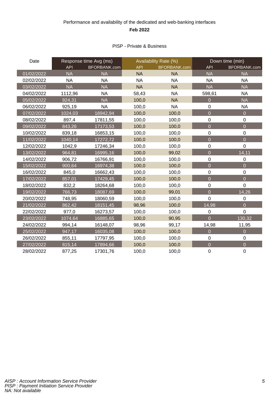### Performance and availability of the dedicated and web-banking interfaces **Feb 2022**

#### PISP - Private & Business

| Date       | Response time Avg (ms) |              | Availability Rate (%) |              | Down time (min)  |                  |
|------------|------------------------|--------------|-----------------------|--------------|------------------|------------------|
|            | <b>API</b>             | BFORBANK.com | <b>API</b>            | BFORBANK.com | <b>API</b>       | BFORBANK.com     |
| 01/02/2022 | <b>NA</b>              | <b>NA</b>    | <b>NA</b>             | <b>NA</b>    | <b>NA</b>        | <b>NA</b>        |
| 02/02/2022 | <b>NA</b>              | <b>NA</b>    | <b>NA</b>             | <b>NA</b>    | <b>NA</b>        | <b>NA</b>        |
| 03/02/2022 | <b>NA</b>              | <b>NA</b>    | <b>NA</b>             | <b>NA</b>    | <b>NA</b>        | <b>NA</b>        |
| 04/02/2022 | 1112,96                | <b>NA</b>    | 58,43                 | <b>NA</b>    | 598,61           | <b>NA</b>        |
| 05/02/2022 | 924,31                 | <b>NA</b>    | 100,0                 | <b>NA</b>    | $\overline{0}$   | <b>NA</b>        |
| 06/02/2022 | 925,19                 | <b>NA</b>    | 100,0                 | <b>NA</b>    | 0                | <b>NA</b>        |
| 07/02/2022 | 1024,03                | 18942,94     | 100,0                 | 100,0        | $\Omega$         | $\overline{O}$   |
| 08/02/2022 | 897,4                  | 17811,55     | 100,0                 | 100,0        | $\boldsymbol{0}$ | $\mathbf 0$      |
| 09/02/2022 | 843,26                 | 17173,53     | 100,0                 | 100,0        | $\overline{0}$   | $\overline{0}$   |
| 10/02/2022 | 839,18                 | 16853,15     | 100,0                 | 100,0        | $\mathbf 0$      | $\mathbf 0$      |
| 11/02/2022 | 1040,14                | 17272,72     | 100,0                 | 100,0        | $\overline{0}$   | $\overline{0}$   |
| 12/02/2022 | 1042,9                 | 17246,34     | 100,0                 | 100,0        | $\mathbf 0$      | $\mathbf 0$      |
| 13/02/2022 | 964,81                 | 16995,16     | 100,0                 | 99,02        | $\overline{0}$   | 14,11            |
| 14/02/2022 | 906,72                 | 16766,91     | 100,0                 | 100,0        | $\mathbf 0$      | $\pmb{0}$        |
| 15/02/2022 | 900,64                 | 16974,38     | 100,0                 | 100,0        | $\overline{0}$   | $\overline{0}$   |
| 16/02/2022 | 845,0                  | 16662,43     | 100,0                 | 100,0        | $\boldsymbol{0}$ | $\mathbf 0$      |
| 17/02/2022 | 857,01                 | 17429,45     | 100,0                 | 100,0        | $\overline{0}$   | $\overline{0}$   |
| 18/02/2022 | 832,2                  | 18264,68     | 100,0                 | 100,0        | $\mathbf 0$      | $\overline{0}$   |
| 19/02/2022 | 766,73                 | 18087,69     | 100,0                 | 99,01        | $\overline{0}$   | 14,26            |
| 20/02/2022 | 748,95                 | 18060,59     | 100,0                 | 100,0        | $\mathbf 0$      | $\boldsymbol{0}$ |
| 21/02/2022 | 862,42                 | 18151,45     | 98,96                 | 100,0        | 14,98            | $\overline{0}$   |
| 22/02/2022 | 977,0                  | 16273,57     | 100,0                 | 100,0        | $\mathbf 0$      | $\mathbf 0$      |
| 23/02/2022 | 1074,64                | 16885,65     | 100,0                 | 90,95        | $\overline{0}$   | 130,32           |
| 24/02/2022 | 994,14                 | 16148,07     | 98,96                 | 99,17        | 14,98            | 11,95            |
| 25/02/2022 | 947,17                 | 16035,08     | 100,0                 | 100,0        | $\overline{0}$   | $\overline{0}$   |
| 26/02/2022 | 855,11                 | 17797,95     | 100,0                 | 100,0        | $\mathbf 0$      | $\mathbf 0$      |
| 27/02/2022 | 815,14                 | 17894,66     | 100,0                 | 100,0        | $\overline{0}$   | $\overline{0}$   |
| 28/02/2022 | 877,25                 | 17301,76     | 100,0                 | 100,0        | $\mathbf 0$      | $\mathbf 0$      |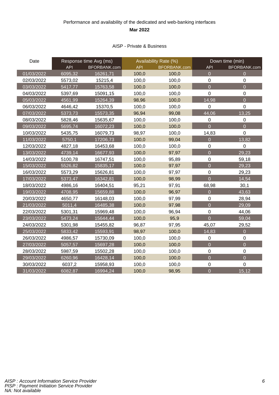### Performance and availability of the dedicated and web-banking interfaces **Mar 2022**

#### AISP - Private & Business

| Date       | Response time Avg (ms) |              | Availability Rate (%) |                     | Down time (min) |                  |
|------------|------------------------|--------------|-----------------------|---------------------|-----------------|------------------|
|            | <b>API</b>             | BFORBANK.com | <b>API</b>            | <b>BFORBANK.com</b> | <b>API</b>      | BFORBANK.com     |
| 01/03/2022 | 6095,32                | 16261,71     | 100,0                 | 100,0               | $\overline{0}$  | $\overline{0}$   |
| 02/03/2022 | 5573,02                | 15215,4      | 100,0                 | 100,0               | $\mathbf 0$     | 0                |
| 03/03/2022 | 5417,77                | 15763,58     | 100,0                 | 100,0               | $\overline{0}$  | $\overline{0}$   |
| 04/03/2022 | 5397,69                | 15091,15     | 100,0                 | 100,0               | $\mathbf 0$     | $\mathbf 0$      |
| 05/03/2022 | 4561,99                | 15264,39     | 98,96                 | 100,0               | 14,98           | $\overline{0}$   |
| 06/03/2022 | 4646,42                | 15370,5      | 100,0                 | 100,0               | 0               | $\mathbf 0$      |
| 07/03/2022 | 5373,73                | 15573,35     | 96,94                 | 99,08               | 44,06           | 13,25            |
| 08/03/2022 | 5828,46                | 15635,67     | 100,0                 | 100,0               | $\mathbf 0$     | $\boldsymbol{0}$ |
| 09/03/2022 | 5695,74                | 16072,23     | 100,0                 | 100,0               | $\overline{0}$  | $\overline{0}$   |
| 10/03/2022 | 5435,75                | 16079,73     | 98,97                 | 100,0               | 14,83           | $\mathbf 0$      |
| 11/03/2022 | 5750,1                 | 17206,73     | 100,0                 | 99,04               | $\overline{0}$  | 13,82            |
| 12/03/2022 | 4827,18                | 16453,68     | 100,0                 | 100,0               | $\mathbf 0$     | $\mathbf 0$      |
| 13/03/2022 | 4739,14                | 16677,93     | 100,0                 | 97,97               | $\overline{0}$  | 29,23            |
| 14/03/2022 | 5100,78                | 16747,51     | 100,0                 | 95,89               | $\mathbf 0$     | 59,18            |
| 15/03/2022 | 5526,82                | 15835,17     | 100,0                 | 97,97               | $\overline{0}$  | 29,23            |
| 16/03/2022 | 5573,29                | 15626,81     | 100,0                 | 97,97               | $\mathbf 0$     | 29,23            |
| 17/03/2022 | 5373,47                | 16342,81     | 100,0                 | 98,99               | $\overline{0}$  | 14,54            |
| 18/03/2022 | 4986,16                | 16404,51     | 95,21                 | 97,91               | 68,98           | 30,1             |
| 19/03/2022 | 4708,95                | 15659,88     | 100,0                 | 96,97               | $\overline{0}$  | 43,63            |
| 20/03/2022 | 4650,77                | 16148,03     | 100,0                 | 97,99               | $\mathbf 0$     | 28,94            |
| 21/03/2022 | 5011,4                 | 16485,38     | 100,0                 | 97,98               | $\overline{0}$  | 29,09            |
| 22/03/2022 | 5301,31                | 15969,48     | 100,0                 | 96,94               | $\pmb{0}$       | 44,06            |
| 23/03/2022 | 5473,24                | 15644,44     | 100,0                 | 95,9                | $\overline{0}$  | 59,04            |
| 24/03/2022 | 5301,98                | 15455,82     | 96,87                 | 97,95               | 45,07           | 29,52            |
| 25/03/2022 | 5833,42                | 15593,91     | 98,97                 | 100,0               | 14,83           | $\overline{0}$   |
| 26/03/2022 | 4986,57                | 15730,09     | 100,0                 | 100,0               | $\mathbf 0$     | $\mathbf 0$      |
| 27/03/2022 | 5057,57                | 15697,28     | 100,0                 | 100,0               | $\overline{0}$  | $\overline{0}$   |
| 28/03/2022 | 5987,59                | 15502,28     | 100,0                 | 100,0               | $\mathbf 0$     | $\mathbf 0$      |
| 29/03/2022 | 6260,96                | 16428,14     | 100,0                 | 100,0               | $\overline{0}$  | $\overline{0}$   |
| 30/03/2022 | 6037,2                 | 15958,93     | 100,0                 | 100,0               | $\mathbf 0$     | $\mathbf 0$      |
| 31/03/2022 | 6082,87                | 16994,24     | 100,0                 | 98,95               | $\overline{0}$  | 15,12            |